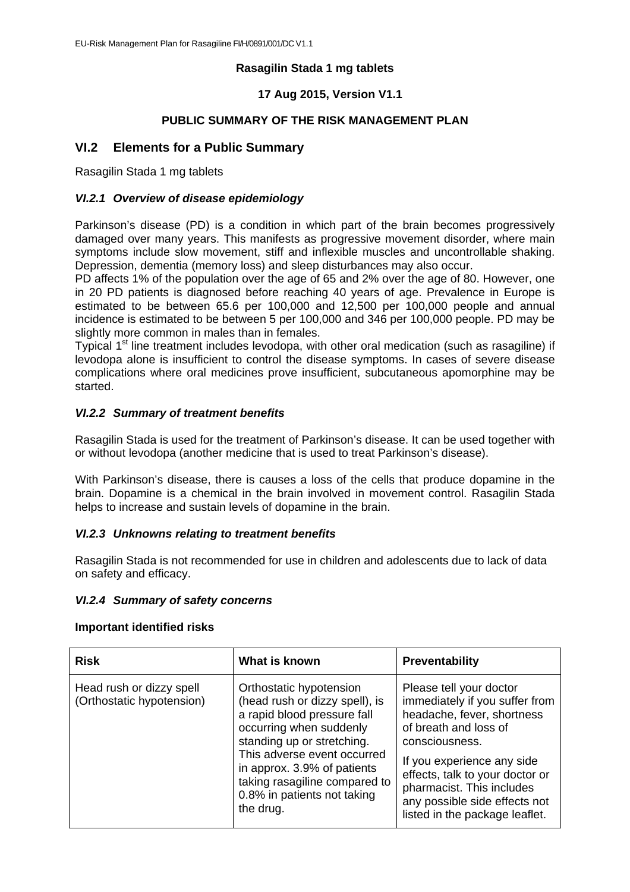### **Rasagilin Stada 1 mg tablets**

# **17 Aug 2015, Version V1.1**

### **PUBLIC SUMMARY OF THE RISK MANAGEMENT PLAN**

# **VI.2 Elements for a Public Summary**

Rasagilin Stada 1 mg tablets

### *VI.2.1 Overview of disease epidemiology*

Parkinson's disease (PD) is a condition in which part of the brain becomes progressively damaged over many years. This manifests as progressive movement disorder, where main symptoms include slow movement, stiff and inflexible muscles and uncontrollable shaking. Depression, dementia (memory loss) and sleep disturbances may also occur.

PD affects 1% of the population over the age of 65 and 2% over the age of 80. However, one in 20 PD patients is diagnosed before reaching 40 years of age. Prevalence in Europe is estimated to be between 65.6 per 100,000 and 12,500 per 100,000 people and annual incidence is estimated to be between 5 per 100,000 and 346 per 100,000 people. PD may be slightly more common in males than in females.

Typical 1<sup>st</sup> line treatment includes levodopa, with other oral medication (such as rasagiline) if levodopa alone is insufficient to control the disease symptoms. In cases of severe disease complications where oral medicines prove insufficient, subcutaneous apomorphine may be started.

# *VI.2.2 Summary of treatment benefits*

Rasagilin Stada is used for the treatment of Parkinson's disease. It can be used together with or without levodopa (another medicine that is used to treat Parkinson's disease).

With Parkinson's disease, there is causes a loss of the cells that produce dopamine in the brain. Dopamine is a chemical in the brain involved in movement control. Rasagilin Stada helps to increase and sustain levels of dopamine in the brain.

### *VI.2.3 Unknowns relating to treatment benefits*

Rasagilin Stada is not recommended for use in children and adolescents due to lack of data on safety and efficacy.

### *VI.2.4 Summary of safety concerns*

#### **Important identified risks**

| <b>Risk</b>                                           | What is known                                                                                                                                                                                                                                                                                | <b>Preventability</b>                                                                                                                                                                                                                                                                               |
|-------------------------------------------------------|----------------------------------------------------------------------------------------------------------------------------------------------------------------------------------------------------------------------------------------------------------------------------------------------|-----------------------------------------------------------------------------------------------------------------------------------------------------------------------------------------------------------------------------------------------------------------------------------------------------|
| Head rush or dizzy spell<br>(Orthostatic hypotension) | Orthostatic hypotension<br>(head rush or dizzy spell), is<br>a rapid blood pressure fall<br>occurring when suddenly<br>standing up or stretching.<br>This adverse event occurred<br>in approx. 3.9% of patients<br>taking rasagiline compared to<br>0.8% in patients not taking<br>the drug. | Please tell your doctor<br>immediately if you suffer from<br>headache, fever, shortness<br>of breath and loss of<br>consciousness.<br>If you experience any side<br>effects, talk to your doctor or<br>pharmacist. This includes<br>any possible side effects not<br>listed in the package leaflet. |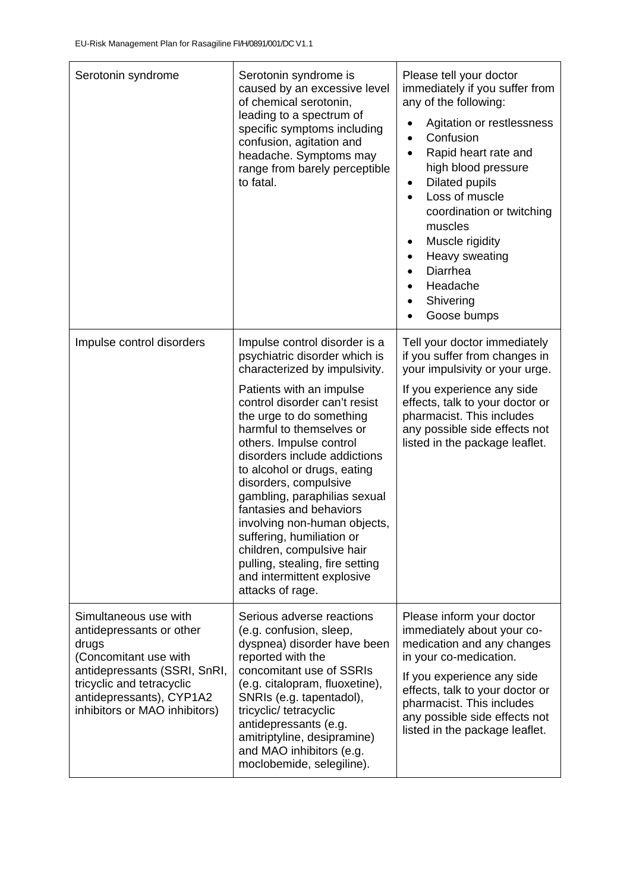| Serotonin syndrome                                                                                                                                                                                            | Serotonin syndrome is<br>caused by an excessive level<br>of chemical serotonin,<br>leading to a spectrum of<br>specific symptoms including<br>confusion, agitation and<br>headache. Symptoms may<br>range from barely perceptible<br>to fatal.                                                                                                                                                                                                                                                                                                                                    | Please tell your doctor<br>immediately if you suffer from<br>any of the following:<br>Agitation or restlessness<br>Confusion<br>$\bullet$<br>Rapid heart rate and<br>$\bullet$<br>high blood pressure<br><b>Dilated pupils</b><br>٠<br>Loss of muscle<br>coordination or twitching<br>muscles<br>Muscle rigidity<br>Heavy sweating<br>$\bullet$<br>Diarrhea<br>Headache<br>Shivering<br>$\bullet$<br>Goose bumps |
|---------------------------------------------------------------------------------------------------------------------------------------------------------------------------------------------------------------|-----------------------------------------------------------------------------------------------------------------------------------------------------------------------------------------------------------------------------------------------------------------------------------------------------------------------------------------------------------------------------------------------------------------------------------------------------------------------------------------------------------------------------------------------------------------------------------|------------------------------------------------------------------------------------------------------------------------------------------------------------------------------------------------------------------------------------------------------------------------------------------------------------------------------------------------------------------------------------------------------------------|
| Impulse control disorders                                                                                                                                                                                     | Impulse control disorder is a<br>psychiatric disorder which is<br>characterized by impulsivity.<br>Patients with an impulse<br>control disorder can't resist<br>the urge to do something<br>harmful to themselves or<br>others. Impulse control<br>disorders include addictions<br>to alcohol or drugs, eating<br>disorders, compulsive<br>gambling, paraphilias sexual<br>fantasies and behaviors<br>involving non-human objects,<br>suffering, humiliation or<br>children, compulsive hair<br>pulling, stealing, fire setting<br>and intermittent explosive<br>attacks of rage. | Tell your doctor immediately<br>if you suffer from changes in<br>your impulsivity or your urge.<br>If you experience any side<br>effects, talk to your doctor or<br>pharmacist. This includes<br>any possible side effects not<br>listed in the package leaflet.                                                                                                                                                 |
| Simultaneous use with<br>antidepressants or other<br>drugs<br>(Concomitant use with<br>antidepressants (SSRI, SnRI,<br>tricyclic and tetracyclic<br>antidepressants), CYP1A2<br>inhibitors or MAO inhibitors) | Serious adverse reactions<br>(e.g. confusion, sleep,<br>dyspnea) disorder have been<br>reported with the<br>concomitant use of SSRIs<br>(e.g. citalopram, fluoxetine),<br>SNRIs (e.g. tapentadol),<br>tricyclic/ tetracyclic<br>antidepressants (e.g.<br>amitriptyline, desipramine)<br>and MAO inhibitors (e.g.<br>moclobemide, selegiline).                                                                                                                                                                                                                                     | Please inform your doctor<br>immediately about your co-<br>medication and any changes<br>in your co-medication.<br>If you experience any side<br>effects, talk to your doctor or<br>pharmacist. This includes<br>any possible side effects not<br>listed in the package leaflet.                                                                                                                                 |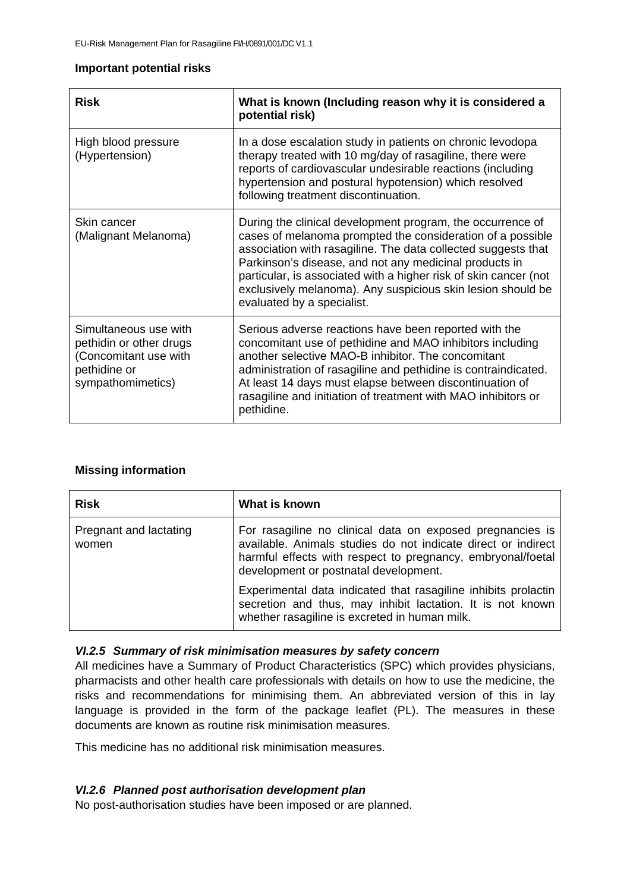### **Important potential risks**

| <b>Risk</b>                                                                                                    | What is known (Including reason why it is considered a<br>potential risk)                                                                                                                                                                                                                                                                                                                                            |
|----------------------------------------------------------------------------------------------------------------|----------------------------------------------------------------------------------------------------------------------------------------------------------------------------------------------------------------------------------------------------------------------------------------------------------------------------------------------------------------------------------------------------------------------|
| High blood pressure<br>(Hypertension)                                                                          | In a dose escalation study in patients on chronic levodopa<br>therapy treated with 10 mg/day of rasagiline, there were<br>reports of cardiovascular undesirable reactions (including<br>hypertension and postural hypotension) which resolved<br>following treatment discontinuation.                                                                                                                                |
| Skin cancer<br>(Malignant Melanoma)                                                                            | During the clinical development program, the occurrence of<br>cases of melanoma prompted the consideration of a possible<br>association with rasagiline. The data collected suggests that<br>Parkinson's disease, and not any medicinal products in<br>particular, is associated with a higher risk of skin cancer (not<br>exclusively melanoma). Any suspicious skin lesion should be<br>evaluated by a specialist. |
| Simultaneous use with<br>pethidin or other drugs<br>(Concomitant use with<br>pethidine or<br>sympathomimetics) | Serious adverse reactions have been reported with the<br>concomitant use of pethidine and MAO inhibitors including<br>another selective MAO-B inhibitor. The concomitant<br>administration of rasagiline and pethidine is contraindicated.<br>At least 14 days must elapse between discontinuation of<br>rasagiline and initiation of treatment with MAO inhibitors or<br>pethidine.                                 |

# **Missing information**

| <b>Risk</b>                     | What is known                                                                                                                                                                                                                      |
|---------------------------------|------------------------------------------------------------------------------------------------------------------------------------------------------------------------------------------------------------------------------------|
| Pregnant and lactating<br>women | For rasagiline no clinical data on exposed pregnancies is<br>available. Animals studies do not indicate direct or indirect<br>harmful effects with respect to pregnancy, embryonal/foetal<br>development or postnatal development. |
|                                 | Experimental data indicated that rasagiline inhibits prolactin<br>secretion and thus, may inhibit lactation. It is not known<br>whether rasagiline is excreted in human milk.                                                      |

# *VI.2.5 Summary of risk minimisation measures by safety concern*

All medicines have a Summary of Product Characteristics (SPC) which provides physicians, pharmacists and other health care professionals with details on how to use the medicine, the risks and recommendations for minimising them. An abbreviated version of this in lay language is provided in the form of the package leaflet (PL). The measures in these documents are known as routine risk minimisation measures.

This medicine has no additional risk minimisation measures.

# *VI.2.6 Planned post authorisation development plan*

No post-authorisation studies have been imposed or are planned.